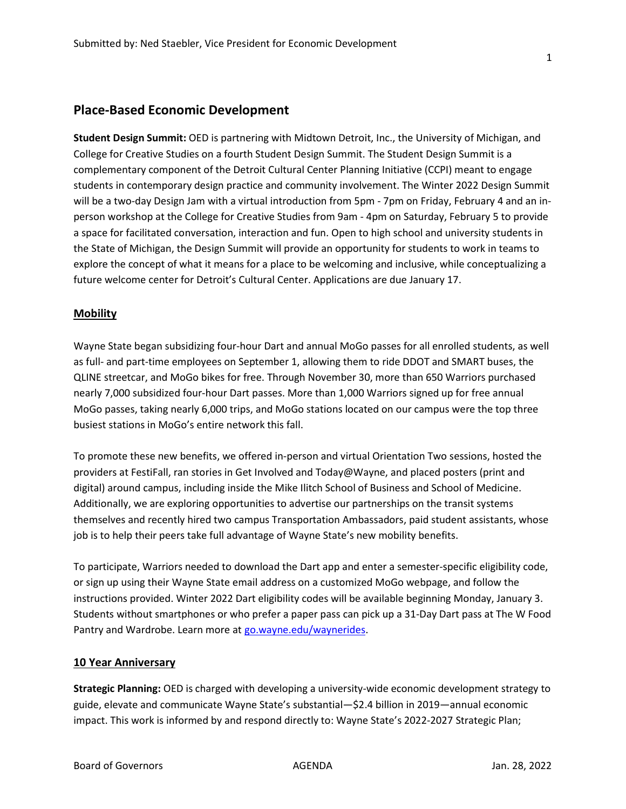## Place-Based Economic Development

Student Design Summit: OED is partnering with Midtown Detroit, Inc., the University of Michigan, and College for Creative Studies on a fourth Student Design Summit. The Student Design Summit is a complementary component of the Detroit Cultural Center Planning Initiative (CCPI) meant to engage students in contemporary design practice and community involvement. The Winter 2022 Design Summit will be a two-day Design Jam with a virtual introduction from 5pm - 7pm on Friday, February 4 and an inperson workshop at the College for Creative Studies from 9am - 4pm on Saturday, February 5 to provide a space for facilitated conversation, interaction and fun. Open to high school and university students in the State of Michigan, the Design Summit will provide an opportunity for students to work in teams to explore the concept of what it means for a place to be welcoming and inclusive, while conceptualizing a future welcome center for Detroit's Cultural Center. Applications are due January 17.

### **Mobility**

Wayne State began subsidizing four-hour Dart and annual MoGo passes for all enrolled students, as well as full- and part-time employees on September 1, allowing them to ride DDOT and SMART buses, the QLINE streetcar, and MoGo bikes for free. Through November 30, more than 650 Warriors purchased nearly 7,000 subsidized four-hour Dart passes. More than 1,000 Warriors signed up for free annual MoGo passes, taking nearly 6,000 trips, and MoGo stations located on our campus were the top three busiest stations in MoGo's entire network this fall.

To promote these new benefits, we offered in-person and virtual Orientation Two sessions, hosted the providers at FestiFall, ran stories in Get Involved and Today@Wayne, and placed posters (print and digital) around campus, including inside the Mike Ilitch School of Business and School of Medicine. Additionally, we are exploring opportunities to advertise our partnerships on the transit systems themselves and recently hired two campus Transportation Ambassadors, paid student assistants, whose job is to help their peers take full advantage of Wayne State's new mobility benefits.

To participate, Warriors needed to download the Dart app and enter a semester-specific eligibility code, or sign up using their Wayne State email address on a customized MoGo webpage, and follow the instructions provided. Winter 2022 Dart eligibility codes will be available beginning Monday, January 3. Students without smartphones or who prefer a paper pass can pick up a 31-Day Dart pass at The W Food Pantry and Wardrobe. Learn more at go.wayne.edu/waynerides.

### 10 Year Anniversary

Strategic Planning: OED is charged with developing a university-wide economic development strategy to guide, elevate and communicate Wayne State's substantial—\$2.4 billion in 2019—annual economic impact. This work is informed by and respond directly to: Wayne State's 2022-2027 Strategic Plan;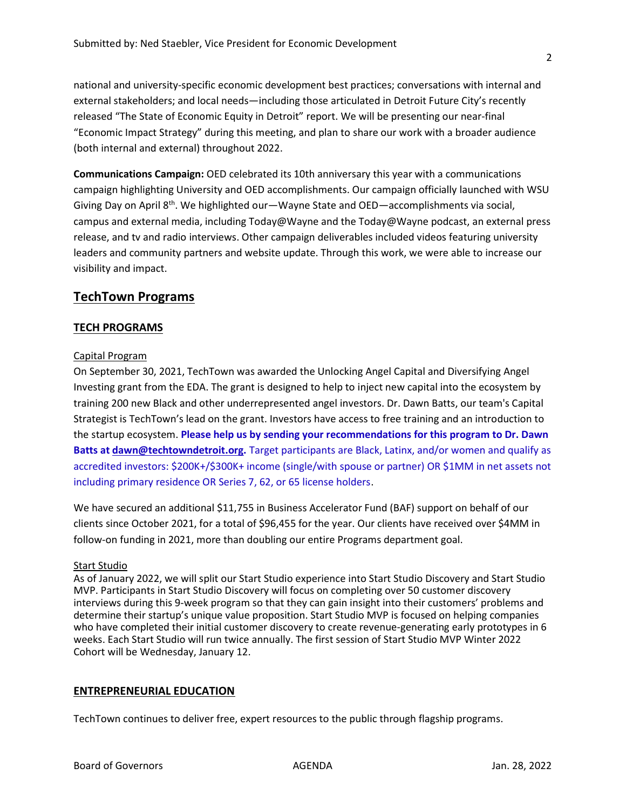national and university-specific economic development best practices; conversations with internal and external stakeholders; and local needs—including those articulated in Detroit Future City's recently released "The State of Economic Equity in Detroit" report. We will be presenting our near-final "Economic Impact Strategy" during this meeting, and plan to share our work with a broader audience (both internal and external) throughout 2022.

Communications Campaign: OED celebrated its 10th anniversary this year with a communications campaign highlighting University and OED accomplishments. Our campaign officially launched with WSU Giving Day on April 8<sup>th</sup>. We highlighted our—Wayne State and OED—accomplishments via social, campus and external media, including Today@Wayne and the Today@Wayne podcast, an external press release, and tv and radio interviews. Other campaign deliverables included videos featuring university leaders and community partners and website update. Through this work, we were able to increase our visibility and impact.

## TechTown Programs

## TECH PROGRAMS

### Capital Program

On September 30, 2021, TechTown was awarded the Unlocking Angel Capital and Diversifying Angel Investing grant from the EDA. The grant is designed to help to inject new capital into the ecosystem by training 200 new Black and other underrepresented angel investors. Dr. Dawn Batts, our team's Capital Strategist is TechTown's lead on the grant. Investors have access to free training and an introduction to the startup ecosystem. Please help us by sending your recommendations for this program to Dr. Dawn Batts at dawn@techtowndetroit.org. Target participants are Black, Latinx, and/or women and qualify as accredited investors: \$200K+/\$300K+ income (single/with spouse or partner) OR \$1MM in net assets not including primary residence OR Series 7, 62, or 65 license holders.

We have secured an additional \$11,755 in Business Accelerator Fund (BAF) support on behalf of our clients since October 2021, for a total of \$96,455 for the year. Our clients have received over \$4MM in follow-on funding in 2021, more than doubling our entire Programs department goal.

### Start Studio

As of January 2022, we will split our Start Studio experience into Start Studio Discovery and Start Studio MVP. Participants in Start Studio Discovery will focus on completing over 50 customer discovery interviews during this 9-week program so that they can gain insight into their customers' problems and determine their startup's unique value proposition. Start Studio MVP is focused on helping companies who have completed their initial customer discovery to create revenue-generating early prototypes in 6 weeks. Each Start Studio will run twice annually. The first session of Start Studio MVP Winter 2022 Cohort will be Wednesday, January 12.

## ENTREPRENEURIAL EDUCATION

TechTown continues to deliver free, expert resources to the public through flagship programs.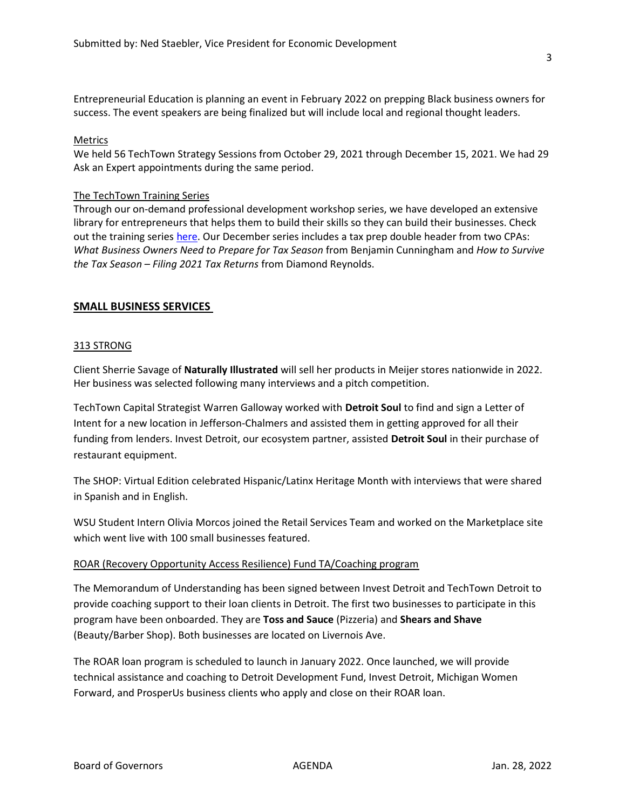Entrepreneurial Education is planning an event in February 2022 on prepping Black business owners for success. The event speakers are being finalized but will include local and regional thought leaders.

### Metrics

We held 56 TechTown Strategy Sessions from October 29, 2021 through December 15, 2021. We had 29 Ask an Expert appointments during the same period.

### The TechTown Training Series

Through our on-demand professional development workshop series, we have developed an extensive library for entrepreneurs that helps them to build their skills so they can build their businesses. Check out the training series here. Our December series includes a tax prep double header from two CPAs: What Business Owners Need to Prepare for Tax Season from Benjamin Cunningham and How to Survive the Tax Season – Filing 2021 Tax Returns from Diamond Reynolds.

## SMALL BUSINESS SERVICES

### 313 STRONG

Client Sherrie Savage of Naturally Illustrated will sell her products in Meijer stores nationwide in 2022. Her business was selected following many interviews and a pitch competition.

TechTown Capital Strategist Warren Galloway worked with Detroit Soul to find and sign a Letter of Intent for a new location in Jefferson-Chalmers and assisted them in getting approved for all their funding from lenders. Invest Detroit, our ecosystem partner, assisted Detroit Soul in their purchase of restaurant equipment.

The SHOP: Virtual Edition celebrated Hispanic/Latinx Heritage Month with interviews that were shared in Spanish and in English.

WSU Student Intern Olivia Morcos joined the Retail Services Team and worked on the Marketplace site which went live with 100 small businesses featured.

### ROAR (Recovery Opportunity Access Resilience) Fund TA/Coaching program

The Memorandum of Understanding has been signed between Invest Detroit and TechTown Detroit to provide coaching support to their loan clients in Detroit. The first two businesses to participate in this program have been onboarded. They are Toss and Sauce (Pizzeria) and Shears and Shave (Beauty/Barber Shop). Both businesses are located on Livernois Ave.

The ROAR loan program is scheduled to launch in January 2022. Once launched, we will provide technical assistance and coaching to Detroit Development Fund, Invest Detroit, Michigan Women Forward, and ProsperUs business clients who apply and close on their ROAR loan.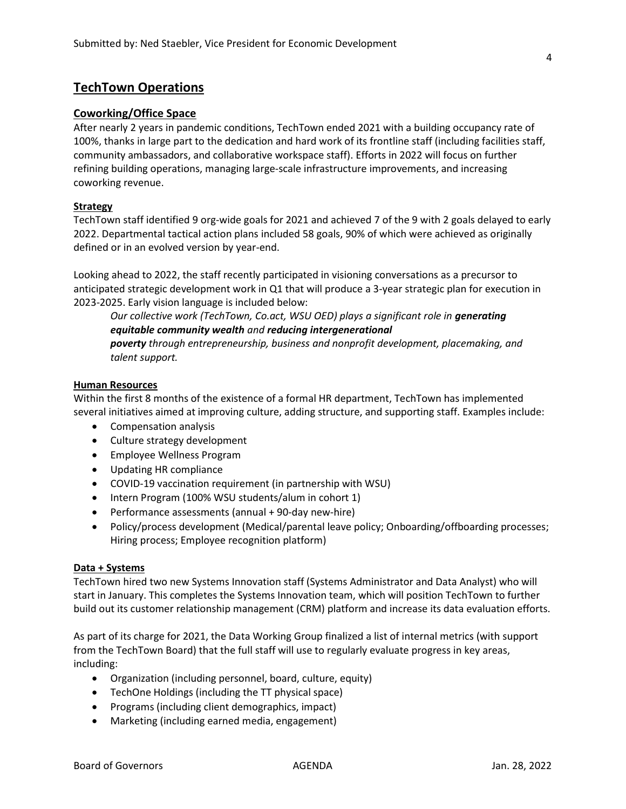## TechTown Operations

### Coworking/Office Space

After nearly 2 years in pandemic conditions, TechTown ended 2021 with a building occupancy rate of 100%, thanks in large part to the dedication and hard work of its frontline staff (including facilities staff, community ambassadors, and collaborative workspace staff). Efforts in 2022 will focus on further refining building operations, managing large-scale infrastructure improvements, and increasing coworking revenue.

### **Strategy**

TechTown staff identified 9 org-wide goals for 2021 and achieved 7 of the 9 with 2 goals delayed to early 2022. Departmental tactical action plans included 58 goals, 90% of which were achieved as originally defined or in an evolved version by year-end.

Looking ahead to 2022, the staff recently participated in visioning conversations as a precursor to anticipated strategic development work in Q1 that will produce a 3-year strategic plan for execution in 2023-2025. Early vision language is included below:

Our collective work (TechTown, Co.act, WSU OED) plays a significant role in generating equitable community wealth and reducing intergenerational

poverty through entrepreneurship, business and nonprofit development, placemaking, and talent support.

### Human Resources

Within the first 8 months of the existence of a formal HR department, TechTown has implemented several initiatives aimed at improving culture, adding structure, and supporting staff. Examples include:

- Compensation analysis
- Culture strategy development
- Employee Wellness Program
- Updating HR compliance
- COVID-19 vaccination requirement (in partnership with WSU)
- Intern Program (100% WSU students/alum in cohort 1)
- Performance assessments (annual + 90-day new-hire)
- Policy/process development (Medical/parental leave policy; Onboarding/offboarding processes; Hiring process; Employee recognition platform)

### Data + Systems

TechTown hired two new Systems Innovation staff (Systems Administrator and Data Analyst) who will start in January. This completes the Systems Innovation team, which will position TechTown to further build out its customer relationship management (CRM) platform and increase its data evaluation efforts.

As part of its charge for 2021, the Data Working Group finalized a list of internal metrics (with support from the TechTown Board) that the full staff will use to regularly evaluate progress in key areas, including:

- Organization (including personnel, board, culture, equity)
- TechOne Holdings (including the TT physical space)
- Programs (including client demographics, impact)
- Marketing (including earned media, engagement)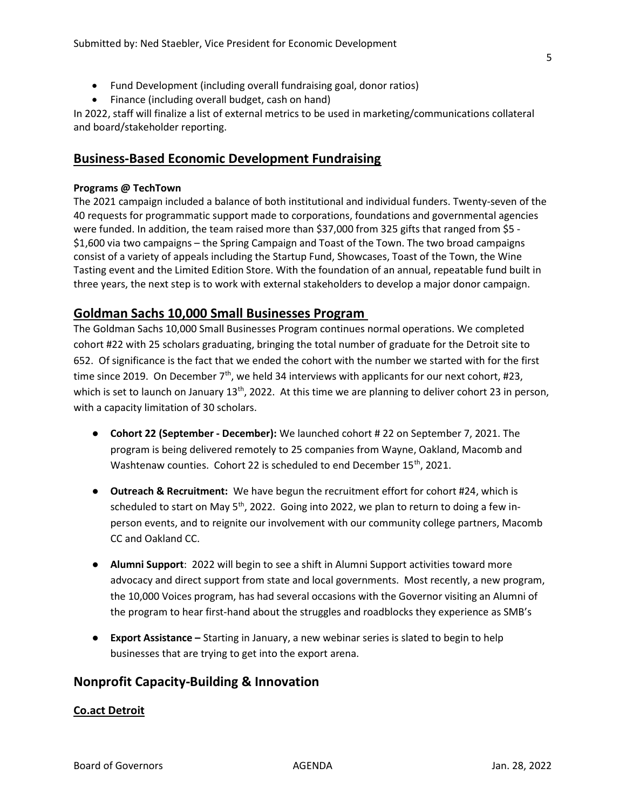- Fund Development (including overall fundraising goal, donor ratios)
- Finance (including overall budget, cash on hand)

In 2022, staff will finalize a list of external metrics to be used in marketing/communications collateral and board/stakeholder reporting.

## Business-Based Economic Development Fundraising

## Programs @ TechTown

The 2021 campaign included a balance of both institutional and individual funders. Twenty-seven of the 40 requests for programmatic support made to corporations, foundations and governmental agencies were funded. In addition, the team raised more than \$37,000 from 325 gifts that ranged from \$5 - \$1,600 via two campaigns – the Spring Campaign and Toast of the Town. The two broad campaigns consist of a variety of appeals including the Startup Fund, Showcases, Toast of the Town, the Wine Tasting event and the Limited Edition Store. With the foundation of an annual, repeatable fund built in three years, the next step is to work with external stakeholders to develop a major donor campaign.

# Goldman Sachs 10,000 Small Businesses Program

The Goldman Sachs 10,000 Small Businesses Program continues normal operations. We completed cohort #22 with 25 scholars graduating, bringing the total number of graduate for the Detroit site to 652. Of significance is the fact that we ended the cohort with the number we started with for the first time since 2019. On December  $7<sup>th</sup>$ , we held 34 interviews with applicants for our next cohort, #23, which is set to launch on January  $13<sup>th</sup>$ , 2022. At this time we are planning to deliver cohort 23 in person, with a capacity limitation of 30 scholars.

- Cohort 22 (September December): We launched cohort # 22 on September 7, 2021. The program is being delivered remotely to 25 companies from Wayne, Oakland, Macomb and Washtenaw counties. Cohort 22 is scheduled to end December 15<sup>th</sup>, 2021.
- Outreach & Recruitment: We have begun the recruitment effort for cohort #24, which is scheduled to start on May 5<sup>th</sup>, 2022. Going into 2022, we plan to return to doing a few inperson events, and to reignite our involvement with our community college partners, Macomb CC and Oakland CC.
- Alumni Support: 2022 will begin to see a shift in Alumni Support activities toward more advocacy and direct support from state and local governments. Most recently, a new program, the 10,000 Voices program, has had several occasions with the Governor visiting an Alumni of the program to hear first-hand about the struggles and roadblocks they experience as SMB's
- Export Assistance Starting in January, a new webinar series is slated to begin to help businesses that are trying to get into the export arena.

# Nonprofit Capacity-Building & Innovation

## Co.act Detroit